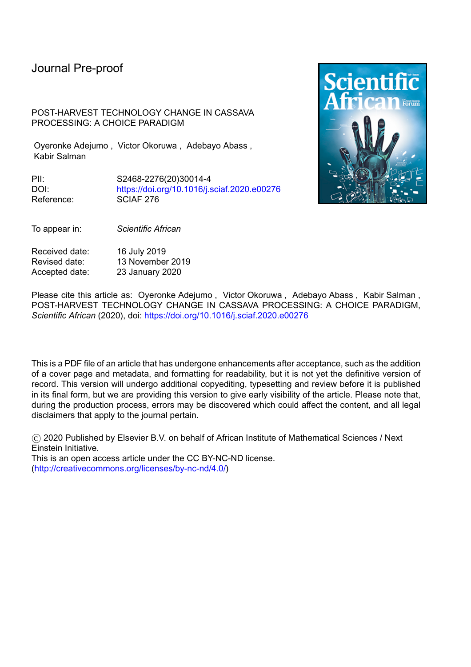POST-HARVEST TECHNOLOGY CHANGE IN CASSAVA PROCESSING: A CHOICE PARADIGM

Oyeronke Adejumo , Victor Okoruwa , Adebayo Abass , Kabir Salman

PII: S2468-2276(20)30014-4 DOI: <https://doi.org/10.1016/j.sciaf.2020.e00276> Reference: SCIAF 276



To appear in: *Scientific African*

Received date: 16 July 2019 Revised date: 13 November 2019 Accepted date: 23 January 2020

Please cite this article as: Oyeronke Adejumo , Victor Okoruwa , Adebayo Abass , Kabir Salman , POST-HARVEST TECHNOLOGY CHANGE IN CASSAVA PROCESSING: A CHOICE PARADIGM, *Scientific African* (2020), doi: <https://doi.org/10.1016/j.sciaf.2020.e00276>

This is a PDF file of an article that has undergone enhancements after acceptance, such as the addition of a cover page and metadata, and formatting for readability, but it is not yet the definitive version of record. This version will undergo additional copyediting, typesetting and review before it is published in its final form, but we are providing this version to give early visibility of the article. Please note that, during the production process, errors may be discovered which could affect the content, and all legal disclaimers that apply to the journal pertain.

© 2020 Published by Elsevier B.V. on behalf of African Institute of Mathematical Sciences / Next Einstein Initiative.

This is an open access article under the CC BY-NC-ND license. [\(http://creativecommons.org/licenses/by-nc-nd/4.0/\)](http://creativecommons.org/licenses/by-nc-nd/4.0/)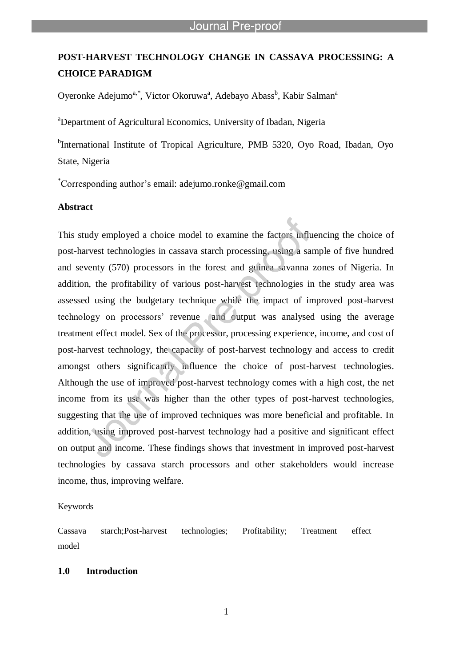# **POST-HARVEST TECHNOLOGY CHANGE IN CASSAVA PROCESSING: A CHOICE PARADIGM**

Oyeronke Adejumo<sup>a,\*</sup>, Victor Okoruwa<sup>a</sup>, Adebayo Abass<sup>b</sup>, Kabir Salman<sup>a</sup>

<sup>a</sup>Department of Agricultural Economics, University of Ibadan, Nigeria

<sup>b</sup>International Institute of Tropical Agriculture, PMB 5320, Oyo Road, Ibadan, Oyo State, Nigeria

\*Corresponding author"s email: adejumo.ronke@gmail.com

l

# **Abstract**

This study employed a choice model to examine the factors influencing the choice of post-harvest technologies in cassava starch processing, using a sample of five hundred and seventy (570) processors in the forest and guinea savanna zones of Nigeria. In addition, the profitability of various post-harvest technologies in the study area was assessed using the budgetary technique while the impact of improved post-harvest technology on processors" revenue and output was analysed using the average treatment effect model. Sex of the processor, processing experience, income, and cost of post-harvest technology, the capacity of post-harvest technology and access to credit amongst others significantly influence the choice of post-harvest technologies. Although the use of improved post-harvest technology comes with a high cost, the net income from its use was higher than the other types of post-harvest technologies, suggesting that the use of improved techniques was more beneficial and profitable. In addition, using improved post-harvest technology had a positive and significant effect on output and income. These findings shows that investment in improved post-harvest technologies by cassava starch processors and other stakeholders would increase income, thus, improving welfare.

#### Keywords

Cassava starch;Post-harvest technologies; Profitability; Treatment effect model

#### **1.0 Introduction**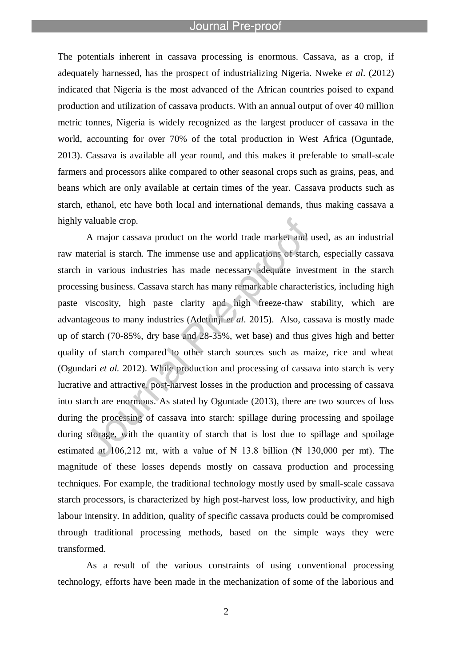l

The potentials inherent in cassava processing is enormous. Cassava, as a crop, if adequately harnessed, has the prospect of industrializing Nigeria. Nweke *et al*. (2012) indicated that Nigeria is the most advanced of the African countries poised to expand production and utilization of cassava products. With an annual output of over 40 million metric tonnes, Nigeria is widely recognized as the largest producer of cassava in the world, accounting for over 70% of the total production in West Africa (Oguntade, 2013). Cassava is available all year round, and this makes it preferable to small-scale farmers and processors alike compared to other seasonal crops such as grains, peas, and beans which are only available at certain times of the year. Cassava products such as starch, ethanol, etc have both local and international demands, thus making cassava a highly valuable crop.

A major cassava product on the world trade market and used, as an industrial raw material is starch. The immense use and applications of starch, especially cassava starch in various industries has made necessary adequate investment in the starch processing business. Cassava starch has many remarkable characteristics, including high paste viscosity, high paste clarity and high freeze-thaw stability, which are advantageous to many industries (Adetunji *et al*. 2015). Also, cassava is mostly made up of starch (70-85%, dry base and 28-35%, wet base) and thus gives high and better quality of starch compared to other starch sources such as maize, rice and wheat (Ogundari *et al.* 2012). While production and processing of cassava into starch is very lucrative and attractive, post-harvest losses in the production and processing of cassava into starch are enormous. As stated by Oguntade (2013), there are two sources of loss during the processing of cassava into starch: spillage during processing and spoilage during storage, with the quantity of starch that is lost due to spillage and spoilage estimated at  $106,212$  mt, with a value of  $\cancel{ }$  N 13.8 billion ( $\cancel{ }$  N 130,000 per mt). The magnitude of these losses depends mostly on cassava production and processing techniques. For example, the traditional technology mostly used by small-scale cassava starch processors, is characterized by high post-harvest loss, low productivity, and high labour intensity. In addition, quality of specific cassava products could be compromised through traditional processing methods, based on the simple ways they were transformed.

As a result of the various constraints of using conventional processing technology, efforts have been made in the mechanization of some of the laborious and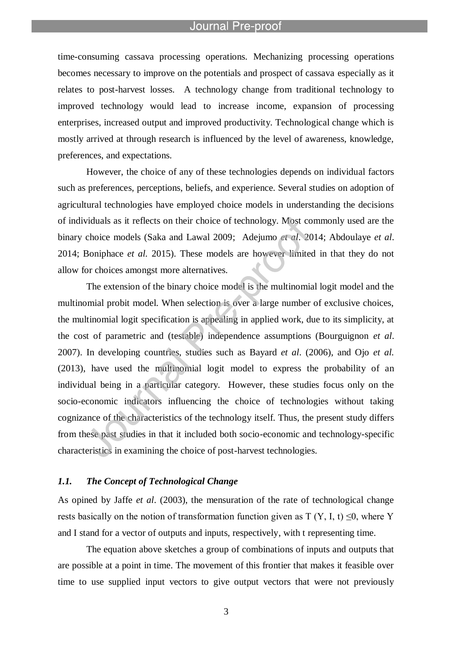l

time-consuming cassava processing operations. Mechanizing processing operations becomes necessary to improve on the potentials and prospect of cassava especially as it relates to post-harvest losses. A technology change from traditional technology to improved technology would lead to increase income, expansion of processing enterprises, increased output and improved productivity. Technological change which is mostly arrived at through research is influenced by the level of awareness, knowledge, preferences, and expectations.

However, the choice of any of these technologies depends on individual factors such as preferences, perceptions, beliefs, and experience. Several studies on adoption of agricultural technologies have employed choice models in understanding the decisions of individuals as it reflects on their choice of technology. Most commonly used are the binary choice models (Saka and Lawal 2009; Adejumo *et al*. 2014; Abdoulaye *et al*. 2014; Boniphace *et al.* 2015). These models are however limited in that they do not allow for choices amongst more alternatives.

The extension of the binary choice model is the multinomial logit model and the multinomial probit model. When selection is over a large number of exclusive choices, the multinomial logit specification is appealing in applied work, due to its simplicity, at the cost of parametric and (testable) independence assumptions (Bourguignon *et al*. 2007). In developing countries, studies such as Bayard *et al*. (2006), and Ojo *et al.* (2013), have used the multinomial logit model to express the probability of an individual being in a particular category. However, these studies focus only on the socio-economic indicators influencing the choice of technologies without taking cognizance of the characteristics of the technology itself. Thus, the present study differs from these past studies in that it included both socio-economic and technology-specific characteristics in examining the choice of post-harvest technologies.

# *1.1. The Concept of Technological Change*

As opined by Jaffe *et al*. (2003), the mensuration of the rate of technological change rests basically on the notion of transformation function given as  $T(Y, I, t) \leq 0$ , where Y and I stand for a vector of outputs and inputs, respectively, with t representing time.

The equation above sketches a group of combinations of inputs and outputs that are possible at a point in time. The movement of this frontier that makes it feasible over time to use supplied input vectors to give output vectors that were not previously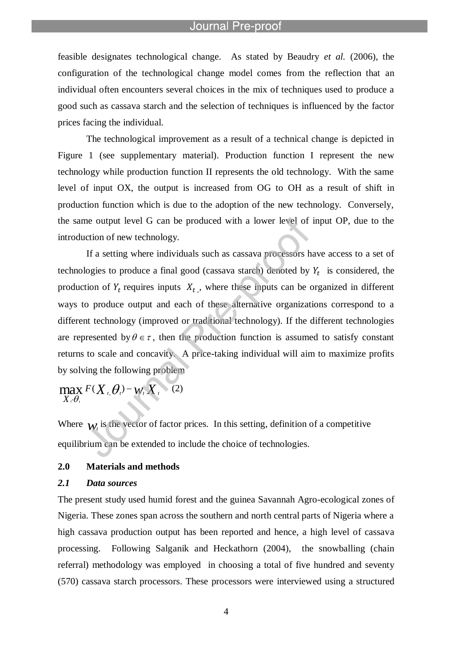l

feasible designates technological change. As stated by Beaudry *et al.* (2006), the configuration of the technological change model comes from the reflection that an individual often encounters several choices in the mix of techniques used to produce a good such as cassava starch and the selection of techniques is influenced by the factor prices facing the individual.

The technological improvement as a result of a technical change is depicted in Figure 1 (see supplementary material). Production function I represent the new technology while production function II represents the old technology. With the same level of input OX, the output is increased from OG to OH as a result of shift in production function which is due to the adoption of the new technology. Conversely, the same output level G can be produced with a lower level of input OP, due to the introduction of new technology.

If a setting where individuals such as cassava processors have access to a set of technologies to produce a final good (cassava starch) denoted by  $Y_t$  is considered, the production of  $Y_t$  requires inputs  $X_t$ , where these inputs can be organized in different ways to produce output and each of these alternative organizations correspond to a different technology (improved or traditional technology). If the different technologies are represented by  $\theta \in \tau$ , then the production function is assumed to satisfy constant returns to scale and concavity. A price-taking individual will aim to maximize profits by solving the following problem

 $F(X_t, \theta_t)$  –  $W_t X_t$  $X$  *t*  $\theta$  $\max_{X_i, \theta_i} F(X_i, \theta_i) -$ (2)

Where  $w_t$  is the vector of factor prices. In this setting, definition of a competitive equilibrium can be extended to include the choice of technologies.

# **2.0 Materials and methods**

# *2.1 Data sources*

The present study used humid forest and the guinea Savannah Agro-ecological zones of Nigeria. These zones span across the southern and north central parts of Nigeria where a high cassava production output has been reported and hence, a high level of cassava processing. Following Salganik and Heckathorn (2004), the snowballing (chain referral) methodology was employed in choosing a total of five hundred and seventy (570) cassava starch processors. These processors were interviewed using a structured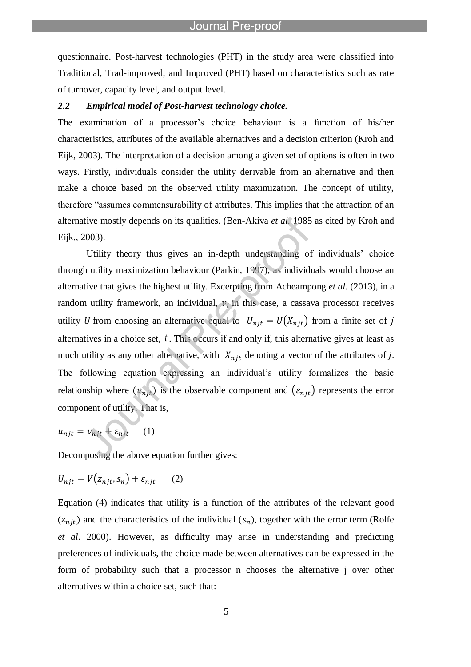questionnaire. Post-harvest technologies (PHT) in the study area were classified into Traditional, Trad-improved, and Improved (PHT) based on characteristics such as rate of turnover, capacity level, and output level.

#### *2.2 Empirical model of Post-harvest technology choice.*

l

The examination of a processor"s choice behaviour is a function of his/her characteristics, attributes of the available alternatives and a decision criterion (Kroh and Eijk, 2003). The interpretation of a decision among a given set of options is often in two ways. Firstly, individuals consider the utility derivable from an alternative and then make a choice based on the observed utility maximization. The concept of utility, therefore "assumes commensurability of attributes. This implies that the attraction of an alternative mostly depends on its qualities. (Ben-Akiva *et al.* 1985 as cited by Kroh and Eijk., 2003).

Utility theory thus gives an in-depth understanding of individuals" choice through utility maximization behaviour (Parkin, 1997), as individuals would choose an alternative that gives the highest utility. Excerpting from Acheampong *et al.* (2013), in a random utility framework, an individual,  $v_i$  in this case, a cassava processor receives utility U from choosing an alternative equal to  $U_{njt} = U(X_{njt})$  from a finite set of j alternatives in a choice set, *t* . This occurs if and only if, this alternative gives at least as much utility as any other alternative, with  $X_{njt}$  denoting a vector of the attributes of j. The following equation expressing an individual"s utility formalizes the basic relationship where  $(v_{njt})$  is the observable component and  $(\varepsilon_{njt})$  represents the error component of utility. That is,

$$
u_{njt} = v_{njt} + \varepsilon_{njt} \qquad (1)
$$

Decomposing the above equation further gives:

$$
U_{njt} = V(z_{njt}, s_n) + \varepsilon_{njt} \qquad (2)
$$

Equation (4) indicates that utility is a function of the attributes of the relevant good  $(z_{njt})$  and the characteristics of the individual  $(s_n)$ , together with the error term (Rolfe *et al*. 2000). However, as difficulty may arise in understanding and predicting preferences of individuals, the choice made between alternatives can be expressed in the form of probability such that a processor n chooses the alternative j over other alternatives within a choice set, such that: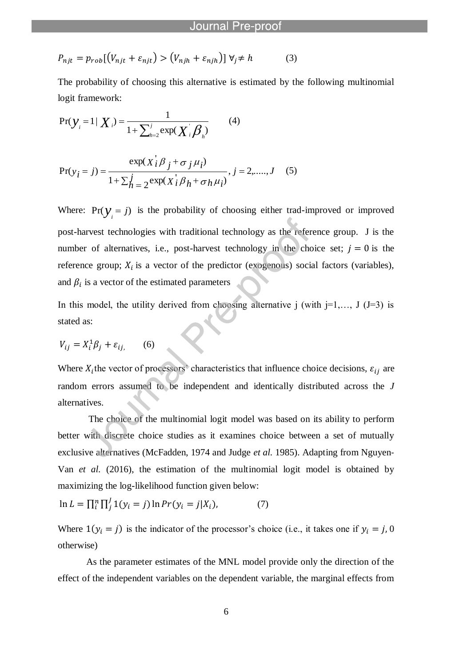$$
P_{njt} = p_{rob}[(V_{njt} + \varepsilon_{njt}) > (V_{njh} + \varepsilon_{njh})] \ \forall j \neq h \tag{3}
$$

l

The probability of choosing this alternative is estimated by the following multinomial logit framework:

$$
Pr(\mathbf{y}_{i} = 1 | \mathbf{X}_{i}) = \frac{1}{1 + \sum_{h=2}^{j} exp(\mathbf{X}_{i} \boldsymbol{\beta}_{h})}
$$
(4)

$$
Pr(y_i = j) = \frac{\exp(X_i^j \beta_j + \sigma_j \mu_i)}{1 + \sum_{h=2}^{j} \exp(X_i^j \beta_h + \sigma_h \mu_i)}, j = 2, \dots, J \quad (5)
$$

Where:  $Pr(y_i = j)$  is the probability of choosing either trad-improved or improved post-harvest technologies with traditional technology as the reference group. J is the number of alternatives, i.e., post-harvest technology in the choice set;  $j = 0$  is the reference group;  $X_i$  is a vector of the predictor (exogenous) social factors (variables), and  $\beta_i$  is a vector of the estimated parameters

In this model, the utility derived from choosing alternative j (with  $j=1,..., J$  (J=3) is stated as:

$$
V_{ij} = X_i^1 \beta_j + \varepsilon_{ij}, \qquad (6)
$$

Where  $X_i$ the vector of processors' characteristics that influence choice decisions,  $\varepsilon_{ij}$  are random errors assumed to be independent and identically distributed across the *J* alternatives.

The choice of the multinomial logit model was based on its ability to perform better with discrete choice studies as it examines choice between a set of mutually exclusive alternatives (McFadden, 1974 and Judge *et al.* 1985). Adapting from Nguyen-Van *et al.* (2016), the estimation of the multinomial logit model is obtained by maximizing the log-likelihood function given below:

$$
\ln L = \prod_{i}^{n} \prod_{j}^{J} 1(y_i = j) \ln Pr(y_i = j | X_i), \tag{7}
$$

Where  $1(y_i = j)$  is the indicator of the processor's choice (i.e., it takes one if  $y_i = j$ , 0 otherwise)

As the parameter estimates of the MNL model provide only the direction of the effect of the independent variables on the dependent variable, the marginal effects from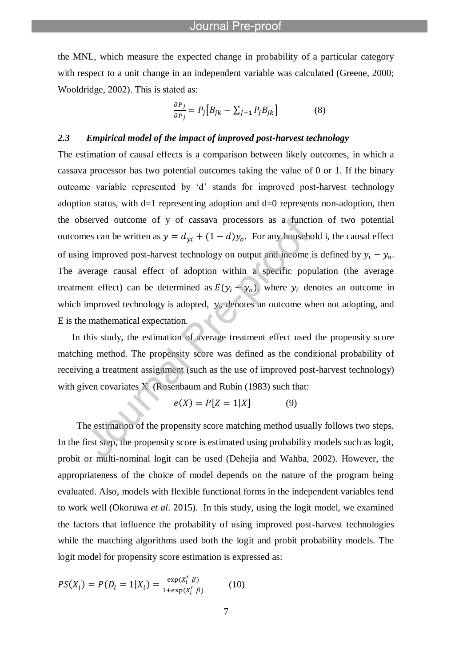the MNL, which measure the expected change in probability of a particular category with respect to a unit change in an independent variable was calculated (Greene, 2000; Wooldridge, 2002). This is stated as:

$$
\frac{\partial P_j}{\partial P_j} = P_j \Big[ B_{jk} - \sum_{j-1} P_j B_{jk} \Big] \tag{8}
$$

# *2.3 Empirical model of the impact of improved post-harvest technology*

l

The estimation of causal effects is a comparison between likely outcomes, in which a cassava processor has two potential outcomes taking the value of 0 or 1. If the binary outcome variable represented by "d" stands for improved post-harvest technology adoption status, with  $d=1$  representing adoption and  $d=0$  represents non-adoption, then the observed outcome of y of cassava processors as a function of two potential outcomes can be written as  $y = d_{yi} + (1 - d)y_0$ . For any household i, the causal effect of using improved post-harvest technology on output and income is defined by  $y_i - y_o$ . The average causal effect of adoption within a specific population (the average treatment effect) can be determined as  $E(y_i - y_o)$ , where  $y_i$  denotes an outcome in which improved technology is adopted,  $y_0$  denotes an outcome when not adopting, and E is the mathematical expectation.

In this study, the estimation of average treatment effect used the propensity score matching method. The propensity score was defined as the conditional probability of receiving a treatment assignment (such as the use of improved post-harvest technology) with given covariates X (Rosenbaum and Rubin (1983) such that:

$$
e(X) = P[Z = 1|X] \tag{9}
$$

 The estimation of the propensity score matching method usually follows two steps. In the first step, the propensity score is estimated using probability models such as logit, probit or multi-nominal logit can be used (Dehejia and Wahba, 2002). However, the appropriateness of the choice of model depends on the nature of the program being evaluated. Also, models with flexible functional forms in the independent variables tend to work well (Okoruwa *et al*. 2015). In this study, using the logit model, we examined the factors that influence the probability of using improved post-harvest technologies while the matching algorithms used both the logit and probit probability models. The logit model for propensity score estimation is expressed as:

$$
PS(X_i) = P(D_i = 1 | X_i) = \frac{\exp(X_i' \ \beta)}{1 + \exp(X_i' \ \beta)}
$$
(10)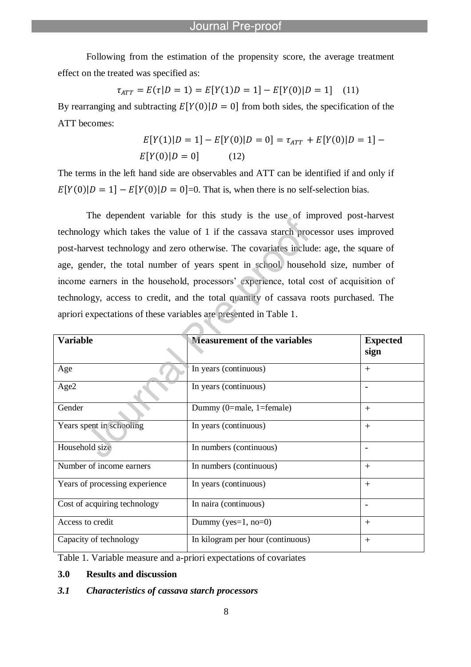Following from the estimation of the propensity score, the average treatment effect on the treated was specified as:

l

$$
\tau_{ATT} = E(\tau|D = 1) = E[Y(1)D = 1] - E[Y(0)|D = 1] \quad (11)
$$

By rearranging and subtracting  $E[Y(0)|D = 0]$  from both sides, the specification of the ATT becomes:

$$
E[Y(1)|D = 1] - E[Y(0)|D = 0] = \tau_{ATT} + E[Y(0)|D = 1] - E[Y(0)|D = 0]
$$
\n(12)

The terms in the left hand side are observables and ATT can be identified if and only if  $E[Y(0)|D=1] - E[Y(0)|D=0] = 0$ . That is, when there is no self-selection bias.

The dependent variable for this study is the use of improved post-harvest technology which takes the value of 1 if the cassava starch processor uses improved post-harvest technology and zero otherwise. The covariates include: age, the square of age, gender, the total number of years spent in school, household size, number of income earners in the household, processors' experience, total cost of acquisition of technology, access to credit, and the total quantity of cassava roots purchased. The apriori expectations of these variables are presented in Table 1.

| <b>Variable</b>                | <b>Measurement of the variables</b> | <b>Expected</b><br>sign |
|--------------------------------|-------------------------------------|-------------------------|
| Age                            | In years (continuous)               | $^{+}$                  |
| Age2                           | In years (continuous)               |                         |
| Gender                         | Dummy $(0=male, 1=female)$          | $^{+}$                  |
| Years spent in schooling       | In years (continuous)               | $^{+}$                  |
| Household size                 | In numbers (continuous)             |                         |
| Number of income earners       | In numbers (continuous)             | $^{+}$                  |
| Years of processing experience | In years (continuous)               | $^{+}$                  |
| Cost of acquiring technology   | In naira (continuous)               |                         |
| Access to credit               | Dummy (yes= $1$ , no= $0$ )         | $^{+}$                  |
| Capacity of technology         | In kilogram per hour (continuous)   | $^{+}$                  |

Table 1. Variable measure and a-priori expectations of covariates

# **3.0 Results and discussion**

#### *3.1 Characteristics of cassava starch processors*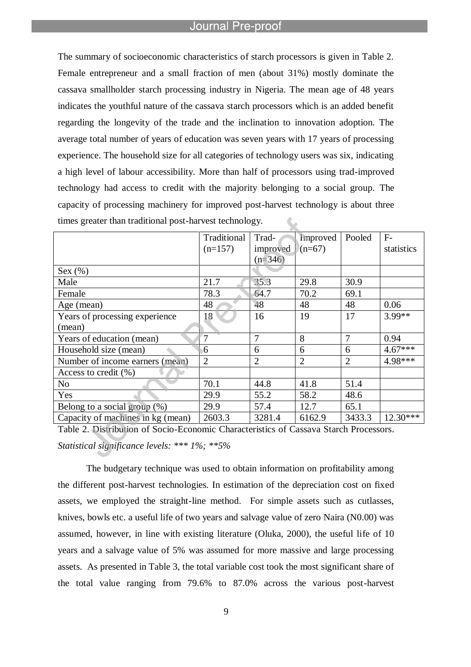l

The summary of socioeconomic characteristics of starch processors is given in Table 2. Female entrepreneur and a small fraction of men (about 31%) mostly dominate the cassava smallholder starch processing industry in Nigeria. The mean age of 48 years indicates the youthful nature of the cassava starch processors which is an added benefit regarding the longevity of the trade and the inclination to innovation adoption. The average total number of years of education was seven years with 17 years of processing experience. The household size for all categories of technology users was six, indicating a high level of labour accessibility. More than half of processors using trad-improved technology had access to credit with the majority belonging to a social group. The capacity of processing machinery for improved post-harvest technology is about three times greater than traditional post-harvest technology.

|                                   | Traditional    | Trad-          | Improved       | Pooled         | $F-$       |
|-----------------------------------|----------------|----------------|----------------|----------------|------------|
|                                   | $(n=157)$      | improved       | $(n=67)$       |                | statistics |
|                                   |                | $(n=346)$      |                |                |            |
| Sex (%)                           |                |                |                |                |            |
| Male                              | 21.7           | 35.3           | 29.8           | 30.9           |            |
| Female                            | 78.3           | 64.7           | 70.2           | 69.1           |            |
| Age (mean)                        | 48             | 48             | 48             | 48             | 0.06       |
| Years of processing experience    | 18             | 16             | 19             | 17             | 3.99**     |
| (mean)                            |                |                |                |                |            |
| Years of education (mean)         | 7              | 7              | 8              | 7              | 0.94       |
| Household size (mean)             | 6              | 6              | 6              | 6              | $4.67***$  |
| Number of income earners (mean)   | $\overline{2}$ | $\overline{2}$ | $\overline{2}$ | $\overline{2}$ | 4.98***    |
| Access to credit $(\% )$          |                |                |                |                |            |
| N <sub>o</sub>                    | 70.1           | 44.8           | 41.8           | 51.4           |            |
| Yes                               | 29.9           | 55.2           | 58.2           | 48.6           |            |
| Belong to a social group $(\%)$   | 29.9           | 57.4           | 12.7           | 65.1           |            |
| Capacity of machines in kg (mean) | 2603.3         | 3281.4         | 6162.9         | 3433.3         | $12.30***$ |

Table 2. Distribution of Socio-Economic Characteristics of Cassava Starch Processors. *Statistical significance levels: \*\*\* 1%; \*\*5%*

The budgetary technique was used to obtain information on profitability among the different post-harvest technologies. In estimation of the depreciation cost on fixed assets, we employed the straight-line method. For simple assets such as cutlasses, knives, bowls etc. a useful life of two years and salvage value of zero Naira (N0.00) was assumed, however, in line with existing literature (Oluka, 2000), the useful life of 10 years and a salvage value of 5% was assumed for more massive and large processing assets. As presented in Table 3, the total variable cost took the most significant share of the total value ranging from 79.6% to 87.0% across the various post-harvest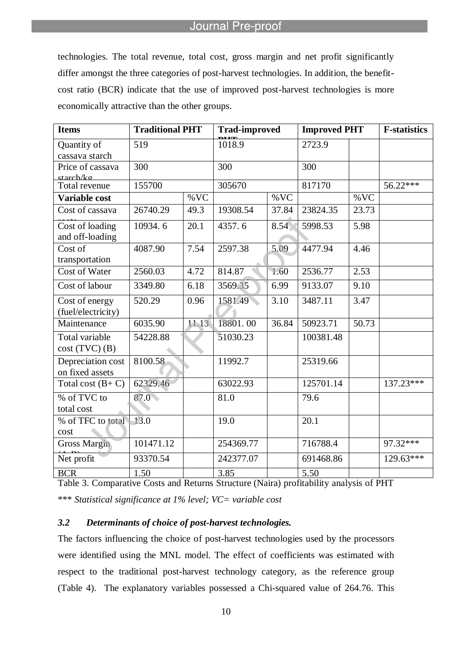technologies. The total revenue, total cost, gross margin and net profit significantly differ amongst the three categories of post-harvest technologies. In addition, the benefitcost ratio (BCR) indicate that the use of improved post-harvest technologies is more economically attractive than the other groups.

l

| <b>Items</b>                                  | <b>Traditional PHT</b> |       | <b>Trad-improved</b> |       | <b>Improved PHT</b> |       | <b>F-statistics</b> |
|-----------------------------------------------|------------------------|-------|----------------------|-------|---------------------|-------|---------------------|
| Quantity of<br>cassava starch                 | 519                    |       | 1018.9               |       | 2723.9              |       |                     |
| Price of cassava<br>starch/ko                 | 300                    |       | 300                  |       | 300                 |       |                     |
| Total revenue                                 | 155700                 |       | 305670               |       | 817170              |       | 56.22***            |
| Variable cost                                 |                        | %VC   |                      | %VC   |                     | %VC   |                     |
| Cost of cassava                               | 26740.29               | 49.3  | 19308.54             | 37.84 | 23824.35            | 23.73 |                     |
| Cost of loading<br>and off-loading            | 10934.6                | 20.1  | 4357.6               | 8.54  | 5998.53             | 5.98  |                     |
| $\overline{\text{Cost of}}$<br>transportation | 4087.90                | 7.54  | 2597.38              | 5.09  | 4477.94             | 4.46  |                     |
| Cost of Water                                 | 2560.03                | 4.72  | 814.87               | 1.60  | 2536.77             | 2.53  |                     |
| Cost of labour                                | 3349.80                | 6.18  | 3569.35              | 6.99  | 9133.07             | 9.10  |                     |
| Cost of energy<br>(fuel/electricity)          | 520.29                 | 0.96  | 1581.49              | 3.10  | 3487.11             | 3.47  |                     |
| Maintenance                                   | 6035.90                | 11.13 | 18801.00             | 36.84 | 50923.71            | 50.73 |                     |
| <b>Total variable</b><br>$cost(TVC)$ $(B)$    | 54228.88               |       | 51030.23             |       | 100381.48           |       |                     |
| Depreciation cost<br>on fixed assets          | 8100.58                |       | 11992.7              |       | 25319.66            |       |                     |
| Total cost $(B+C)$                            | 62329.46               |       | 63022.93             |       | 125701.14           |       | $137.23***$         |
| % of TVC to<br>total cost                     | 87.0                   |       | 81.0                 |       | 79.6                |       |                     |
| % of TFC to total<br>cost                     | $-13.0$                |       | 19.0                 |       | 20.1                |       |                     |
| <b>Gross Margin</b>                           | 101471.12              |       | 254369.77            |       | 716788.4            |       | 97.32***            |
| Net profit                                    | 93370.54               |       | 242377.07            |       | 691468.86           |       | $129.63***$         |
| <b>BCR</b>                                    | 1.50                   |       | 3.85                 |       | 5.50                |       |                     |

Table 3. Comparative Costs and Returns Structure (Naira) profitability analysis of PHT

\*\*\* *Statistical significance at 1% level; VC= variable cost*

# *3.2 Determinants of choice of post-harvest technologies.*

The factors influencing the choice of post-harvest technologies used by the processors were identified using the MNL model. The effect of coefficients was estimated with respect to the traditional post-harvest technology category, as the reference group (Table 4). The explanatory variables possessed a Chi-squared value of 264.76. This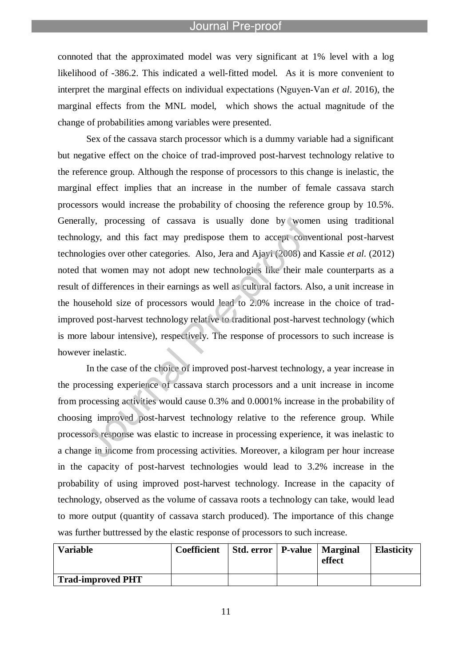l

connoted that the approximated model was very significant at 1% level with a log likelihood of -386.2. This indicated a well-fitted model. As it is more convenient to interpret the marginal effects on individual expectations (Nguyen‐Van *et al*. 2016), the marginal effects from the MNL model, which shows the actual magnitude of the change of probabilities among variables were presented.

Sex of the cassava starch processor which is a dummy variable had a significant but negative effect on the choice of trad-improved post-harvest technology relative to the reference group. Although the response of processors to this change is inelastic, the marginal effect implies that an increase in the number of female cassava starch processors would increase the probability of choosing the reference group by 10.5%. Generally, processing of cassava is usually done by women using traditional technology, and this fact may predispose them to accept conventional post-harvest technologies over other categories. Also, Jera and Ajayi (2008) and Kassie *et al.* (2012) noted that women may not adopt new technologies like their male counterparts as a result of differences in their earnings as well as cultural factors. Also, a unit increase in the household size of processors would lead to 2.0% increase in the choice of tradimproved post-harvest technology relative to traditional post-harvest technology (which is more labour intensive), respectively. The response of processors to such increase is however inelastic.

In the case of the choice of improved post-harvest technology, a year increase in the processing experience of cassava starch processors and a unit increase in income from processing activities would cause 0.3% and 0.0001% increase in the probability of choosing improved post-harvest technology relative to the reference group. While processors response was elastic to increase in processing experience, it was inelastic to a change in income from processing activities. Moreover, a kilogram per hour increase in the capacity of post-harvest technologies would lead to 3.2% increase in the probability of using improved post-harvest technology. Increase in the capacity of technology, observed as the volume of cassava roots a technology can take, would lead to more output (quantity of cassava starch produced). The importance of this change was further buttressed by the elastic response of processors to such increase.

| <b>Variable</b>          | Coefficient | Std. error   P-value   Marginal | effect | <b>Elasticity</b> |
|--------------------------|-------------|---------------------------------|--------|-------------------|
| <b>Trad-improved PHT</b> |             |                                 |        |                   |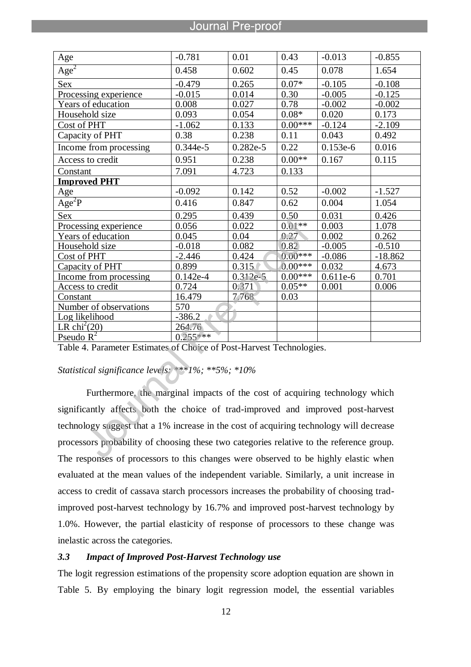l

| Age                        | $-0.781$   | 0.01       | 0.43      | $-0.013$   | $-0.855$  |
|----------------------------|------------|------------|-----------|------------|-----------|
| Age <sup>2</sup>           | 0.458      | 0.602      | 0.45      | 0.078      | 1.654     |
| <b>Sex</b>                 | $-0.479$   | 0.265      | $0.07*$   | $-0.105$   | $-0.108$  |
| Processing experience      | $-0.015$   | 0.014      | 0.30      | $-0.005$   | $-0.125$  |
| Years of education         | 0.008      | 0.027      | 0.78      | $-0.002$   | $-0.002$  |
| Household size             | 0.093      | 0.054      | $0.08*$   | 0.020      | 0.173     |
| Cost of PHT                | $-1.062$   | 0.133      | $0.00***$ | $-0.124$   | $-2.109$  |
| Capacity of PHT            | 0.38       | 0.238      | 0.11      | 0.043      | 0.492     |
| Income from processing     | $0.344e-5$ | $0.282e-5$ | 0.22      | $0.153e-6$ | 0.016     |
| Access to credit           | 0.951      | 0.238      | $0.00**$  | 0.167      | 0.115     |
| Constant                   | 7.091      | 4.723      | 0.133     |            |           |
| <b>Improved PHT</b>        |            |            |           |            |           |
| Age                        | $-0.092$   | 0.142      | 0.52      | $-0.002$   | $-1.527$  |
| $A\overline{ge^2P}$        | 0.416      | 0.847      | 0.62      | 0.004      | 1.054     |
| <b>Sex</b>                 | 0.295      | 0.439      | 0.50      | 0.031      | 0.426     |
| Processing experience      | 0.056      | 0.022      | $0.01**$  | 0.003      | 1.078     |
| Years of education         | 0.045      | 0.04       | 0.27      | 0.002      | 0.262     |
| Household size             | $-0.018$   | 0.082      | 0.82      | $-0.005$   | $-0.510$  |
| Cost of PHT                | $-2.446$   | 0.424      | $0.00***$ | $-0.086$   | $-18.862$ |
| Capacity of PHT            | 0.899      | 0.315      | $0.00***$ | 0.032      | 4.673     |
| Income from processing     | $0.142e-4$ | $0.312e-5$ | $0.00***$ | $0.611e-6$ | 0.701     |
| Access to credit           | 0.724      | 0.371      | $0.05**$  | 0.001      | 0.006     |
| Constant                   | 16.479     | 7.768      | 0.03      |            |           |
| Number of observations     | 570        |            |           |            |           |
| Log likelihood             | $-386.2$   |            |           |            |           |
| LR chi <sup>2</sup> $(20)$ | 264.76     |            |           |            |           |
| Pseudo $R^2$               | $0.255***$ |            |           |            |           |

Table 4. Parameter Estimates of Choice of Post-Harvest Technologies.

*Statistical significance levels: \*\*\*1%; \*\*5%; \*10%*

Furthermore, the marginal impacts of the cost of acquiring technology which significantly affects both the choice of trad-improved and improved post-harvest technology suggest that a 1% increase in the cost of acquiring technology will decrease processors probability of choosing these two categories relative to the reference group. The responses of processors to this changes were observed to be highly elastic when evaluated at the mean values of the independent variable. Similarly, a unit increase in access to credit of cassava starch processors increases the probability of choosing tradimproved post-harvest technology by 16.7% and improved post-harvest technology by 1.0%. However, the partial elasticity of response of processors to these change was inelastic across the categories.

# *3.3 Impact of Improved Post-Harvest Technology use*

The logit regression estimations of the propensity score adoption equation are shown in Table 5. By employing the binary logit regression model, the essential variables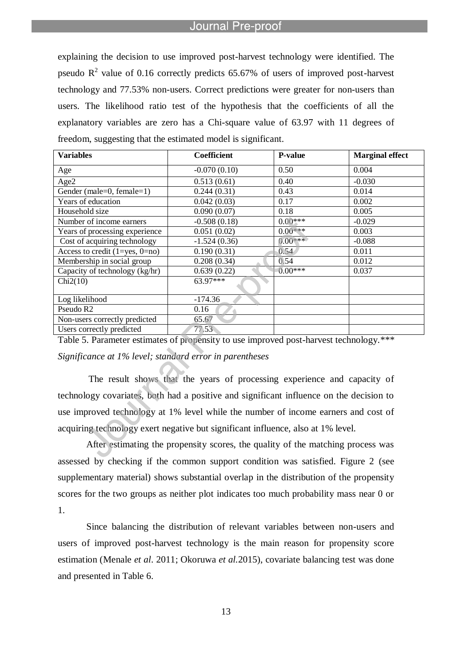l

explaining the decision to use improved post-harvest technology were identified. The pseudo  $\mathbb{R}^2$  value of 0.16 correctly predicts 65.67% of users of improved post-harvest technology and 77.53% non-users. Correct predictions were greater for non-users than users. The likelihood ratio test of the hypothesis that the coefficients of all the explanatory variables are zero has a Chi-square value of 63.97 with 11 degrees of freedom, suggesting that the estimated model is significant.

| <b>Variables</b>                     | Coefficient    | <b>P-value</b> | <b>Marginal effect</b> |
|--------------------------------------|----------------|----------------|------------------------|
| Age                                  | $-0.070(0.10)$ | 0.50           | 0.004                  |
| Age2                                 | 0.513(0.61)    | 0.40           | $-0.030$               |
| Gender (male=0, female=1)            | 0.244(0.31)    | 0.43           | 0.014                  |
| Years of education                   | 0.042(0.03)    | 0.17           | 0.002                  |
| Household size                       | 0.090(0.07)    | 0.18           | 0.005                  |
| Number of income earners             | $-0.508(0.18)$ | $0.00***$      | $-0.029$               |
| Years of processing experience       | 0.051(0.02)    | $0.00***$      | 0.003                  |
| Cost of acquiring technology         | $-1.524(0.36)$ | $0.00***$      | $-0.088$               |
| Access to credit $(1 = yes, 0 = no)$ | 0.190(0.31)    | 0.54           | 0.011                  |
| Membership in social group           | 0.208(0.34)    | 0.54           | 0.012                  |
| Capacity of technology (kg/hr)       | 0.639(0.22)    | $0.00***$      | 0.037                  |
| Chi2(10)                             | $63.97***$     |                |                        |
| Log likelihood                       | $-174.36$      |                |                        |
| Pseudo R <sub>2</sub>                | 0.16           |                |                        |
| Non-users correctly predicted        | 65.67          |                |                        |
| Users correctly predicted            | 77.53          |                |                        |

Table 5. Parameter estimates of propensity to use improved post-harvest technology.*\*\*\* Significance at 1% level; standard error in parentheses*

The result shows that the years of processing experience and capacity of technology covariates, both had a positive and significant influence on the decision to use improved technology at 1% level while the number of income earners and cost of acquiring technology exert negative but significant influence, also at 1% level.

After estimating the propensity scores, the quality of the matching process was assessed by checking if the common support condition was satisfied. Figure 2 (see supplementary material) shows substantial overlap in the distribution of the propensity scores for the two groups as neither plot indicates too much probability mass near 0 or 1.

Since balancing the distribution of relevant variables between non-users and users of improved post-harvest technology is the main reason for propensity score estimation (Menale *et al*. 2011; Okoruwa *et al.*2015), covariate balancing test was done and presented in Table 6.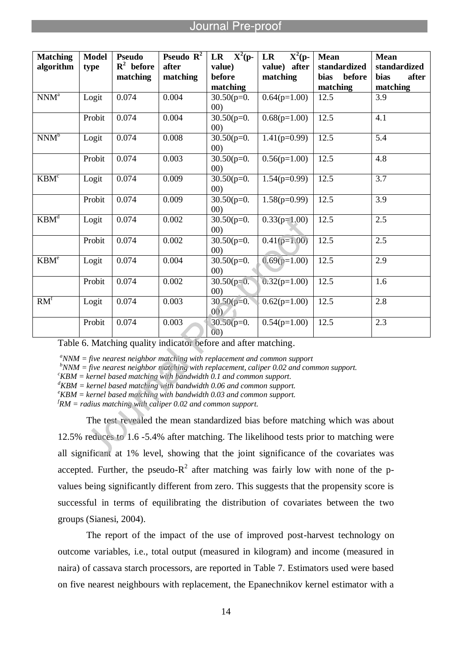l

| <b>Matching</b><br>algorithm | <b>Model</b><br>type | <b>Pseudo</b><br>$R^2$ before<br>matching | <b>Pseudo</b> $\mathbb{R}^2$<br>after<br>matching | LR $X^2(p-$<br>value)<br>before<br>matching | $X^2(p-$<br><b>LR</b><br>value) after<br>matching | <b>Mean</b><br>standardized<br>bias<br>before<br>matching | <b>Mean</b><br>standardized<br>after<br>bias<br>matching |
|------------------------------|----------------------|-------------------------------------------|---------------------------------------------------|---------------------------------------------|---------------------------------------------------|-----------------------------------------------------------|----------------------------------------------------------|
| $NNM^a$                      | Logit                | 0.074                                     | 0.004                                             | $30.50(p=0.$<br>00)                         | $0.64(p=1.00)$                                    | 12.5                                                      | 3.9                                                      |
|                              | Probit               | 0.074                                     | 0.004                                             | $30.50(p=0.$<br>(00)                        | $0.68(p=1.00)$                                    | 12.5                                                      | 4.1                                                      |
| NNM <sup>b</sup>             | Logit                | 0.074                                     | 0.008                                             | $30.50(p=0.$<br>00)                         | $1.41(p=0.99)$                                    | 12.5                                                      | 5.4                                                      |
|                              | Probit               | 0.074                                     | 0.003                                             | $30.50(p=0.$<br>(00)                        | $0.56(p=1.00)$                                    | 12.5                                                      | 4.8                                                      |
| KBM <sup>c</sup>             | Logit                | 0.074                                     | 0.009                                             | $\overline{30.50}$ (p=0.<br>(00)            | $1.54(p=0.99)$                                    | 12.5                                                      | $\overline{3.7}$                                         |
|                              | Probit               | 0.074                                     | 0.009                                             | $30.50(p=0.$<br>00)                         | $1.58(p=0.99)$                                    | 12.5                                                      | $\overline{3.9}$                                         |
| KBM <sup>d</sup>             | Logit                | 0.074                                     | 0.002                                             | $30.50(p=0.$<br>00)                         | $0.33(p=1.00)$                                    | 12.5                                                      | 2.5                                                      |
|                              | Probit               | 0.074                                     | 0.002                                             | $30.50(p=0.$<br>00)                         | $0.41(p=1.00)$                                    | 12.5                                                      | 2.5                                                      |
| KBM <sup>e</sup>             | Logit                | 0.074                                     | 0.004                                             | $30.50(p=0.$<br>00)                         | $0.69(p=1.00)$                                    | 12.5                                                      | 2.9                                                      |
|                              | Probit               | 0.074                                     | 0.002                                             | $30.50(p=0.$<br>00)                         | $0.32(p=1.00)$                                    | 12.5                                                      | 1.6                                                      |
| RM <sup>f</sup>              | Logit                | 0.074                                     | 0.003                                             | $30.50(p=0.$<br>00)                         | $0.62(p=1.00)$                                    | 12.5                                                      | 2.8                                                      |
|                              | Probit               | 0.074                                     | 0.003                                             | $30.50(p=0.$<br>(00)                        | $0.54(p=1.00)$                                    | 12.5                                                      | 2.3                                                      |

Table 6. Matching quality indicator before and after matching.

*<sup>a</sup>NNM = five nearest neighbor matching with replacement and common support*

*<sup>b</sup>NNM = five nearest neighbor matching with replacement, caliper 0.02 and common support.*

*<sup>c</sup>KBM = kernel based matching with bandwidth 0.1 and common support.*

*<sup>d</sup>KBM = kernel based matching with bandwidth 0.06 and common support.*

*<sup>e</sup>KBM = kernel based matching with bandwidth 0.03 and common support.*

*<sup>f</sup>RM = radius matching with caliper 0.02 and common support.*

The test revealed the mean standardized bias before matching which was about 12.5% reduces to 1.6 -5.4% after matching. The likelihood tests prior to matching were all significant at 1% level, showing that the joint significance of the covariates was accepted. Further, the pseudo- $R^2$  after matching was fairly low with none of the pvalues being significantly different from zero. This suggests that the propensity score is successful in terms of equilibrating the distribution of covariates between the two groups (Sianesi, 2004).

The report of the impact of the use of improved post-harvest technology on outcome variables, i.e., total output (measured in kilogram) and income (measured in naira) of cassava starch processors, are reported in Table 7. Estimators used were based on five nearest neighbours with replacement, the Epanechnikov kernel estimator with a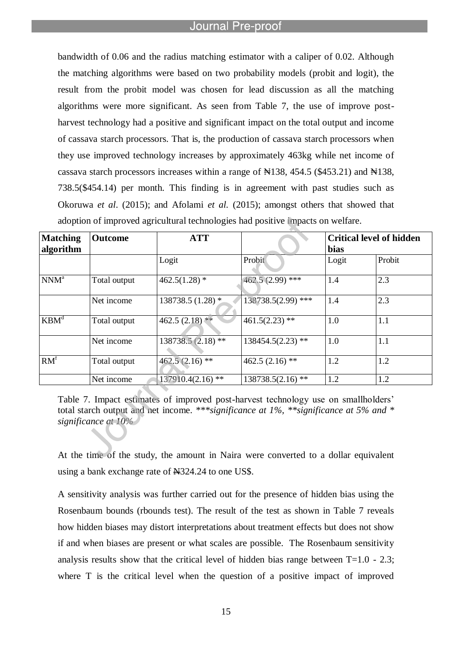l

bandwidth of 0.06 and the radius matching estimator with a caliper of 0.02. Although the matching algorithms were based on two probability models (probit and logit), the result from the probit model was chosen for lead discussion as all the matching algorithms were more significant. As seen from Table 7, the use of improve postharvest technology had a positive and significant impact on the total output and income of cassava starch processors. That is, the production of cassava starch processors when they use improved technology increases by approximately 463kg while net income of cassava starch processors increases within a range of  $\mathbb{N}138$ , 454.5 (\$453.21) and  $\mathbb{N}138$ , 738.5(\$454.14) per month. This finding is in agreement with past studies such as Okoruwa *et al*. (2015); and Afolami *et al.* (2015); amongst others that showed that adoption of improved agricultural technologies had positive impacts on welfare.

| <b>Matching</b><br>algorithm | <b>Outcome</b> | <b>ATT</b>          |                     | bias  | <b>Critical level of hidden</b> |  |
|------------------------------|----------------|---------------------|---------------------|-------|---------------------------------|--|
|                              |                | Logit               | Probit              | Logit | Probit                          |  |
| NNM <sup>a</sup>             | Total output   | $462.5(1.28)$ *     | $462.5(2.99)$ ***   | 1.4   | 2.3                             |  |
|                              | Net income     | 138738.5 (1.28) *   | 138738.5(2.99) ***  | 1.4   | 2.3                             |  |
| KBM <sup>d</sup>             | Total output   | 462.5 $(2.18)$ **   | $461.5(2.23)$ **    | 1.0   | 1.1                             |  |
|                              | Net income     | $138738.5(2.18)$ ** | $138454.5(2.23)$ ** | 1.0   | 1.1                             |  |
| RM <sup>f</sup>              | Total output   | $462.5(2.16)$ **    | 462.5 $(2.16)$ **   | 1.2   | 1.2                             |  |
|                              | Net income     | $137910.4(2.16)$ ** | $138738.5(2.16)$ ** | 1.2   | 1.2                             |  |

Table 7. Impact estimates of improved post-harvest technology use on smallholders' total starch output and net income. *\*\*\*significance at 1%, \*\*significance at 5% and \* significance at 10%*

At the time of the study, the amount in Naira were converted to a dollar equivalent using a bank exchange rate of N324.24 to one US\$.

A sensitivity analysis was further carried out for the presence of hidden bias using the Rosenbaum bounds (rbounds test). The result of the test as shown in Table 7 reveals how hidden biases may distort interpretations about treatment effects but does not show if and when biases are present or what scales are possible. The Rosenbaum sensitivity analysis results show that the critical level of hidden bias range between  $T=1.0 - 2.3$ ; where T is the critical level when the question of a positive impact of improved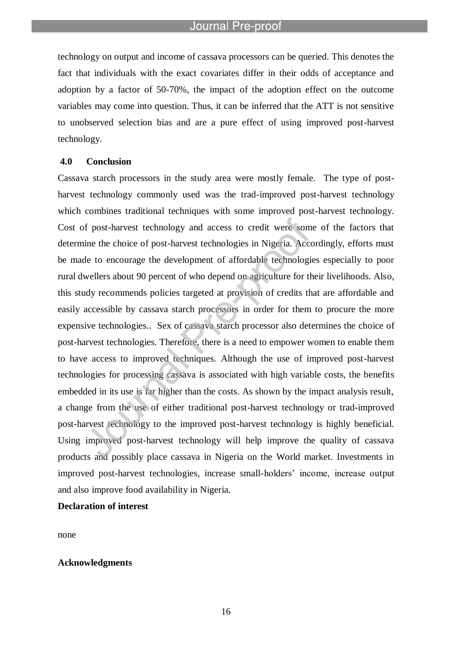l

technology on output and income of cassava processors can be queried. This denotes the fact that individuals with the exact covariates differ in their odds of acceptance and adoption by a factor of 50-70%, the impact of the adoption effect on the outcome variables may come into question. Thus, it can be inferred that the ATT is not sensitive to unobserved selection bias and are a pure effect of using improved post-harvest technology.

#### **4.0 Conclusion**

Cassava starch processors in the study area were mostly female. The type of postharvest technology commonly used was the trad-improved post-harvest technology which combines traditional techniques with some improved post-harvest technology. Cost of post-harvest technology and access to credit were some of the factors that determine the choice of post-harvest technologies in Nigeria. Accordingly, efforts must be made to encourage the development of affordable technologies especially to poor rural dwellers about 90 percent of who depend on agriculture for their livelihoods. Also, this study recommends policies targeted at provision of credits that are affordable and easily accessible by cassava starch processors in order for them to procure the more expensive technologies.. Sex of cassava starch processor also determines the choice of post-harvest technologies. Therefore, there is a need to empower women to enable them to have access to improved techniques. Although the use of improved post-harvest technologies for processing cassava is associated with high variable costs, the benefits embedded in its use is far higher than the costs. As shown by the impact analysis result, a change from the use of either traditional post-harvest technology or trad-improved post-harvest technology to the improved post-harvest technology is highly beneficial. Using improved post-harvest technology will help improve the quality of cassava products and possibly place cassava in Nigeria on the World market. Investments in improved post-harvest technologies, increase small-holders" income, increase output and also improve food availability in Nigeria.

# **Declaration of interest**

none

#### **Acknowledgments**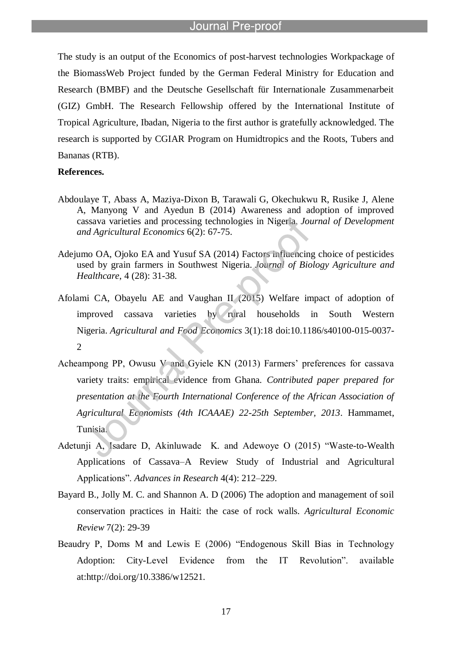l

The study is an output of the Economics of post-harvest technologies Workpackage of the BiomassWeb Project funded by the German Federal Ministry for Education and Research (BMBF) and the Deutsche Gesellschaft für Internationale Zusammenarbeit (GIZ) GmbH. The Research Fellowship offered by the International Institute of Tropical Agriculture, Ibadan, Nigeria to the first author is gratefully acknowledged. The research is supported by CGIAR Program on Humidtropics and the Roots, Tubers and Bananas (RTB).

# **References.**

- Abdoulaye T, Abass A, Maziya-Dixon B, Tarawali G, Okechukwu R, Rusike J, Alene A, Manyong V and Ayedun B (2014) Awareness and adoption of improved cassava varieties and processing technologies in Nigeria. *Journal of Development and Agricultural Economics* 6(2): 67-75.
- Adejumo OA, Ojoko EA and Yusuf SA (2014) Factors influencing choice of pesticides used by grain farmers in Southwest Nigeria. *Journal of Biology Agriculture and Healthcare*, 4 (28): 31-38.
- Afolami CA, Obayelu AE and Vaughan II (2015) Welfare impact of adoption of improved cassava varieties by rural households in South Western Nigeria. *Agricultural and Food Economics* 3(1):18 doi:10.1186/s40100-015-0037- 2
- Acheampong PP, Owusu V and Gyiele KN (2013) Farmers" preferences for cassava variety traits: empirical evidence from Ghana. *Contributed paper prepared for presentation at the Fourth International Conference of the African Association of Agricultural Economists (4th ICAAAE) 22-25th September, 2013*. Hammamet, Tunisia.
- Adetunji A, Isadare D, Akinluwade K. and Adewoye O (2015) "Waste-to-Wealth Applications of Cassava–A Review Study of Industrial and Agricultural Applications". *Advances in Research* 4(4): 212–229.
- Bayard B., Jolly M. C. and Shannon A. D (2006) The adoption and management of soil conservation practices in Haiti: the case of rock walls. *Agricultural Economic Review* 7(2): 29-39
- Beaudry P, Doms M and Lewis E (2006) "Endogenous Skill Bias in Technology Adoption: City-Level Evidence from the IT Revolution". available at:http://doi.org/10.3386/w12521.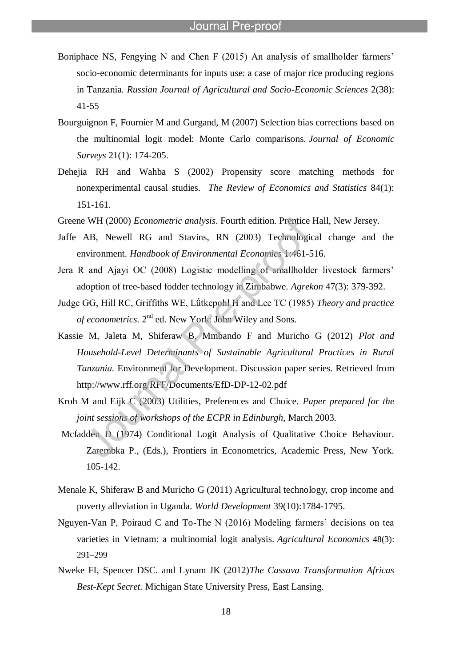Boniphace NS, Fengying N and Chen F (2015) An analysis of smallholder farmers' socio-economic determinants for inputs use: a case of major rice producing regions in Tanzania. *Russian Journal of Agricultural and Socio-Economic Sciences* 2(38): 41-55

l

- Bourguignon F, Fournier M and Gurgand, M (2007) Selection bias corrections based on the multinomial logit model: Monte Carlo comparisons. *Journal of Economic Surveys* 21(1): 174-205.
- Dehejia RH and Wahba S (2002) Propensity score matching methods for nonexperimental causal studies. *The Review of Economics and Statistics* 84(1): 151-161.
- Greene WH (2000) *Econometric analysis*. Fourth edition. Prentice Hall, New Jersey.
- Jaffe AB, Newell RG and Stavins, RN (2003) Technological change and the environment. *Handbook of Environmental Economics* 1:461-516.
- Jera R and Ajayi OC (2008) Logistic modelling of smallholder livestock farmers' adoption of tree-based fodder technology in Zimbabwe. *Agrekon* 47(3): 379-392.
- Judge GG, Hill RC, Griffiths WE, Lǘtkepohl H and Lee TC (1985) *Theory and practice*  of econometrics. 2<sup>nd</sup> ed. New York: John Wiley and Sons.
- Kassie M, Jaleta M, Shiferaw B, Mmbando F and Muricho G (2012) *Plot and Household-Level Determinants of Sustainable Agricultural Practices in Rural Tanzania.* Environment for Development. Discussion paper series. Retrieved from http://www.rff.org/RFF/Documents/EfD-DP-12-02.pdf
- Kroh M and Eijk C (2003) Utilities, Preferences and Choice. *Paper prepared for the joint sessions of workshops of the ECPR in Edinburgh*, March 2003.
- Mcfadden D (1974) Conditional Logit Analysis of Qualitative Choice Behaviour. Zarembka P., (Eds.), Frontiers in Econometrics, Academic Press, New York. 105-142.
- Menale K, Shiferaw B and Muricho G (2011) Agricultural technology, crop income and poverty alleviation in Uganda. *World Development* 39(10):1784-1795.
- Nguyen-Van P, Poiraud C and To-The N  $(2016)$  Modeling farmers' decisions on tea varieties in Vietnam: a multinomial logit analysis. *Agricultural Economics* 48(3): 291–299
- Nweke FI, Spencer DSC. and Lynam JK (2012)*The Cassava Transformation Africas Best-Kept Secret.* Michigan State University Press, East Lansing.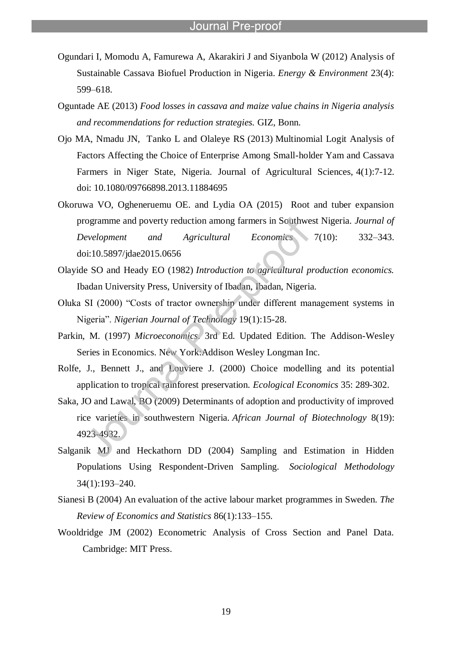Ogundari I, Momodu A, Famurewa A, Akarakiri J and Siyanbola W (2012) Analysis of Sustainable Cassava Biofuel Production in Nigeria. *Energy & Environment* 23(4): 599–618.

l

- Oguntade AE (2013) *Food losses in cassava and maize value chains in Nigeria analysis and recommendations for reduction strategies.* GIZ, Bonn.
- Ojo MA, Nmadu JN, Tanko L and Olaleye RS (2013) Multinomial Logit Analysis of Factors Affecting the Choice of Enterprise Among Small-holder Yam and Cassava Farmers in Niger State, Nigeria. Journal of Agricultural Sciences, 4(1):7-12. doi: 10.1080/09766898.2013.11884695
- Okoruwa VO, Ogheneruemu OE. and Lydia OA (2015) Root and tuber expansion programme and poverty reduction among farmers in Southwest Nigeria. *Journal of Development and Agricultural Economics* 7(10): 332–343. doi:10.5897/jdae2015.0656
- Olayide SO and Heady EO (1982) *Introduction to agricultural production economics.* Ibadan University Press, University of Ibadan, Ibadan, Nigeria.
- Oluka SI (2000) "Costs of tractor ownership under different management systems in Nigeria". *Nigerian Journal of Technology* 19(1):15-28.
- Parkin, M. (1997) *Microeconomics*. 3rd Ed. Updated Edition. The Addison-Wesley Series in Economics. New York:Addison Wesley Longman Inc.
- Rolfe, J., Bennett J., and Louviere J. (2000) Choice modelling and its potential application to tropical rainforest preservation. *Ecological Economics* 35: 289-302.
- Saka, JO and Lawal, BO (2009) Determinants of adoption and productivity of improved rice varieties in southwestern Nigeria. *African Journal of Biotechnology* 8(19): 4923-4932.
- Salganik MJ and Heckathorn DD (2004) Sampling and Estimation in Hidden Populations Using Respondent-Driven Sampling. *Sociological Methodology*  34(1):193–240.
- Sianesi B (2004) An evaluation of the active labour market programmes in Sweden. *The Review of Economics and Statistics* 86(1):133–155.
- Wooldridge JM (2002) Econometric Analysis of Cross Section and Panel Data. Cambridge: MIT Press.